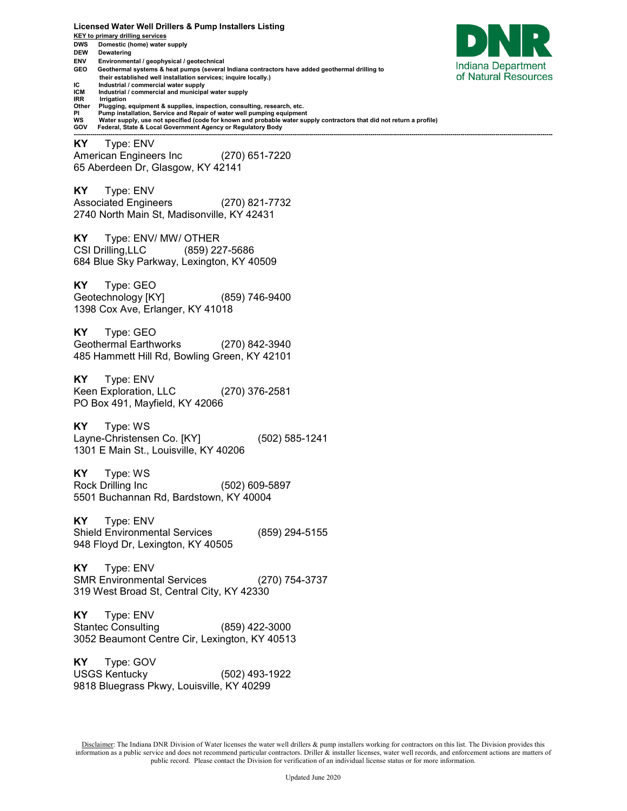**Licensed Water Well Drillers & Pump Installers Listing KEY to primary drilling services DWS Domestic (home) water supply DEW Dewatering ENV Environmental / geophysical / geotechnical**  Indiana Department **GEO Geothermal systems & heat pumps (several Indiana contractors have added geothermal drilling to**  of Natural Resources  **their established well installation services; inquire locally.) IC** Industrial / commercial water supply<br>**ICM** Industrial / commercial and municipal **ICM** Industrial / commercial and municipal water supply<br>**IRR** Irrigation **IRR Irrigation**<br>Other **Plugging Other Plugging, equipment & supplies, inspection, consulting, research, etc. PI Pump installation, Service and Repair of water well pumping equipment WS Water supply, use not specified (code for known and probable water supply contractors that did not return a profile) GOV Federal, State & Local Government Agency or Regulatory Body ------------------------------------------------------------------------------------------------------------------------------------------------------------------------------------------------------------------------------------------ KY** Type: ENV American Engineers Inc (270) 651-7220 65 Aberdeen Dr, Glasgow, KY 42141 **KY** Type: ENV Associated Engineers (270) 821-7732 2740 North Main St, Madisonville, KY 42431 **KY** Type: ENV/ MW/ OTHER CSI Drilling,LLC (859) 227-5686 684 Blue Sky Parkway, Lexington, KY 40509 **KY** Type: GEO Geotechnology [KY] (859) 746-9400 1398 Cox Ave, Erlanger, KY 41018 **KY** Type: GEO Geothermal Earthworks (270) 842-3940 485 Hammett Hill Rd, Bowling Green, KY 42101 **KY** Type: ENV Keen Exploration, LLC (270) 376-2581 PO Box 491, Mayfield, KY 42066 **KY** Type: WS Layne-Christensen Co. [KY] (502) 585-1241 1301 E Main St., Louisville, KY 40206 **KY** Type: WS Rock Drilling Inc (502) 609-5897 5501 Buchannan Rd, Bardstown, KY 40004 **KY** Type: ENV Shield Environmental Services (859) 294-5155 948 Floyd Dr, Lexington, KY 40505 **KY** Type: ENV SMR Environmental Services (270) 754-3737 319 West Broad St, Central City, KY 42330 **KY** Type: ENV Stantec Consulting (859) 422-3000 3052 Beaumont Centre Cir, Lexington, KY 40513 **KY** Type: GOV USGS Kentucky (502) 493-1922 9818 Bluegrass Pkwy, Louisville, KY 40299

Disclaimer: The Indiana DNR Division of Water licenses the water well drillers & pump installers working for contractors on this list. The Division provides this information as a public service and does not recommend particular contractors. Driller & installer licenses, water well records, and enforcement actions are matters of public record. Please contact the Division for verification of an individual license status or for more information.